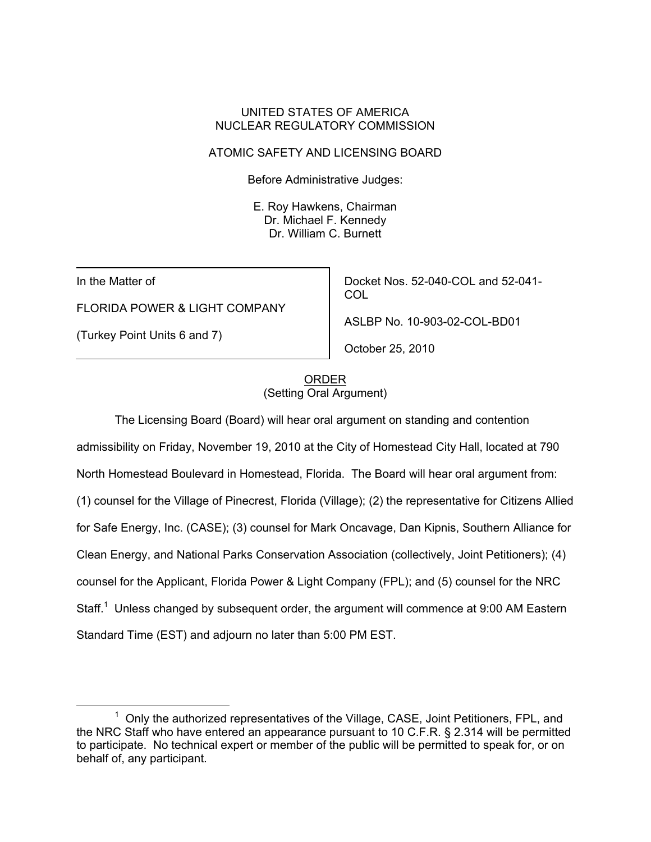### UNITED STATES OF AMERICA NUCLEAR REGULATORY COMMISSION

### ATOMIC SAFETY AND LICENSING BOARD

Before Administrative Judges:

 E. Roy Hawkens, Chairman Dr. Michael F. Kennedy Dr. William C. Burnett

In the Matter of

FLORIDA POWER & LIGHT COMPANY

(Turkey Point Units 6 and 7)

Docket Nos. 52-040-COL and 52-041- COL

ASLBP No. 10-903-02-COL-BD01

October 25, 2010

## ORDER (Setting Oral Argument)

The Licensing Board (Board) will hear oral argument on standing and contention admissibility on Friday, November 19, 2010 at the City of Homestead City Hall, located at 790 North Homestead Boulevard in Homestead, Florida. The Board will hear oral argument from: (1) counsel for the Village of Pinecrest, Florida (Village); (2) the representative for Citizens Allied for Safe Energy, Inc. (CASE); (3) counsel for Mark Oncavage, Dan Kipnis, Southern Alliance for Clean Energy, and National Parks Conservation Association (collectively, Joint Petitioners); (4) counsel for the Applicant, Florida Power & Light Company (FPL); and (5) counsel for the NRC Staff.<sup>1</sup> Unless changed by subsequent order, the argument will commence at 9:00 AM Eastern Standard Time (EST) and adjourn no later than 5:00 PM EST.

<sup>1</sup>  $1$  Only the authorized representatives of the Village, CASE, Joint Petitioners, FPL, and the NRC Staff who have entered an appearance pursuant to 10 C.F.R. § 2.314 will be permitted to participate. No technical expert or member of the public will be permitted to speak for, or on behalf of, any participant.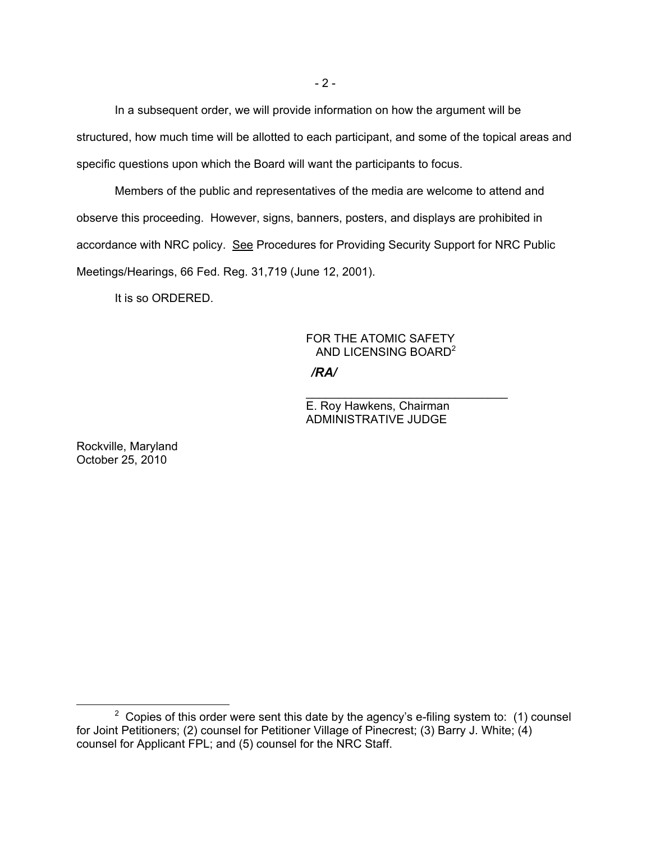In a subsequent order, we will provide information on how the argument will be structured, how much time will be allotted to each participant, and some of the topical areas and specific questions upon which the Board will want the participants to focus.

Members of the public and representatives of the media are welcome to attend and observe this proceeding. However, signs, banners, posters, and displays are prohibited in accordance with NRC policy. See Procedures for Providing Security Support for NRC Public Meetings/Hearings, 66 Fed. Reg. 31,719 (June 12, 2001).

 $\overline{\phantom{a}}$  , and the contract of the contract of the contract of the contract of the contract of the contract of the contract of the contract of the contract of the contract of the contract of the contract of the contrac

It is so ORDERED.

# FOR THE ATOMIC SAFETY AND LICENSING BOARD<sup>2</sup> */RA/*

E. Roy Hawkens, Chairman ADMINISTRATIVE JUDGE

Rockville, Maryland October 25, 2010

 $\overline{\phantom{a}}$  2  $2$  Copies of this order were sent this date by the agency's e-filing system to: (1) counsel for Joint Petitioners; (2) counsel for Petitioner Village of Pinecrest; (3) Barry J. White; (4) counsel for Applicant FPL; and (5) counsel for the NRC Staff.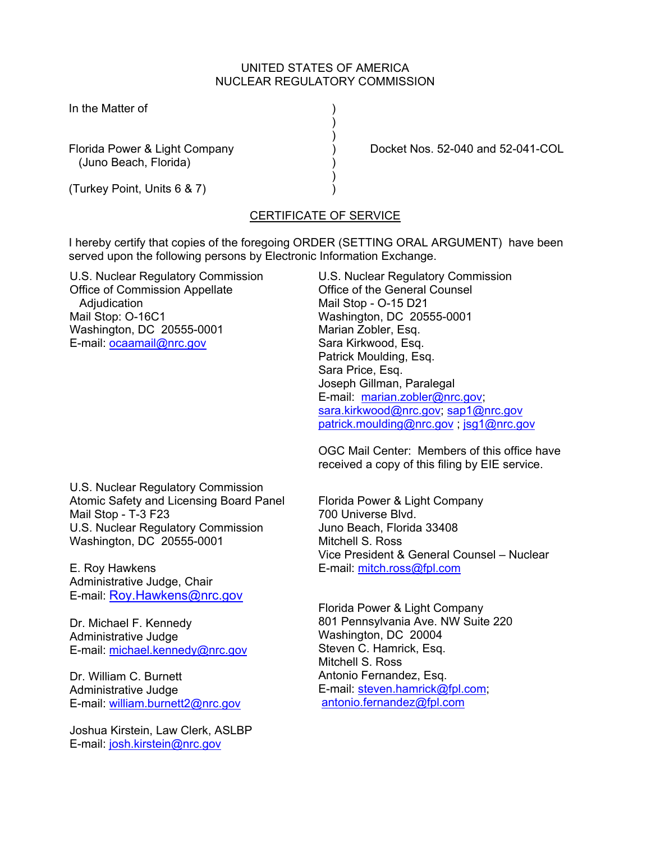### UNITED STATES OF AMERICA NUCLEAR REGULATORY COMMISSION

In the Matter of (1)

(Juno Beach, Florida) )

) and the contract of  $\mathcal{L}$  $)$ 

 $)$ (Turkey Point, Units 6 & 7) )

Florida Power & Light Company (and S2-040 and 52-041-COL

## CERTIFICATE OF SERVICE

I hereby certify that copies of the foregoing ORDER (SETTING ORAL ARGUMENT) have been served upon the following persons by Electronic Information Exchange.

U.S. Nuclear Regulatory Commission Office of Commission Appellate **Adjudication** Mail Stop: O-16C1 Washington, DC 20555-0001 E-mail: ocaamail@nrc.gov

U.S. Nuclear Regulatory Commission Office of the General Counsel Mail Stop - O-15 D21 Washington, DC 20555-0001 Marian Zobler, Esq. Sara Kirkwood, Esq. Patrick Moulding, Esq. Sara Price, Esq. Joseph Gillman, Paralegal E-mail: marian.zobler@nrc.gov; sara.kirkwood@nrc.gov; sap1@nrc.gov patrick.moulding@nrc.gov ; jsg1@nrc.gov

OGC Mail Center: Members of this office have received a copy of this filing by EIE service.

U.S. Nuclear Regulatory Commission Atomic Safety and Licensing Board Panel Mail Stop - T-3 F23 U.S. Nuclear Regulatory Commission Washington, DC 20555-0001

E. Roy Hawkens Administrative Judge, Chair E-mail: Roy.Hawkens@nrc.gov

Dr. Michael F. Kennedy Administrative Judge E-mail: michael.kennedy@nrc.gov

Dr. William C. Burnett Administrative Judge E-mail: william.burnett2@nrc.gov

Joshua Kirstein, Law Clerk, ASLBP E-mail: josh.kirstein@nrc.gov

Florida Power & Light Company 700 Universe Blvd. Juno Beach, Florida 33408 Mitchell S. Ross Vice President & General Counsel – Nuclear E-mail: mitch.ross@fpl.com

Florida Power & Light Company 801 Pennsylvania Ave. NW Suite 220 Washington, DC 20004 Steven C. Hamrick, Esq. Mitchell S. Ross Antonio Fernandez, Esq. E-mail: steven.hamrick@fpl.com; antonio.fernandez@fpl.com